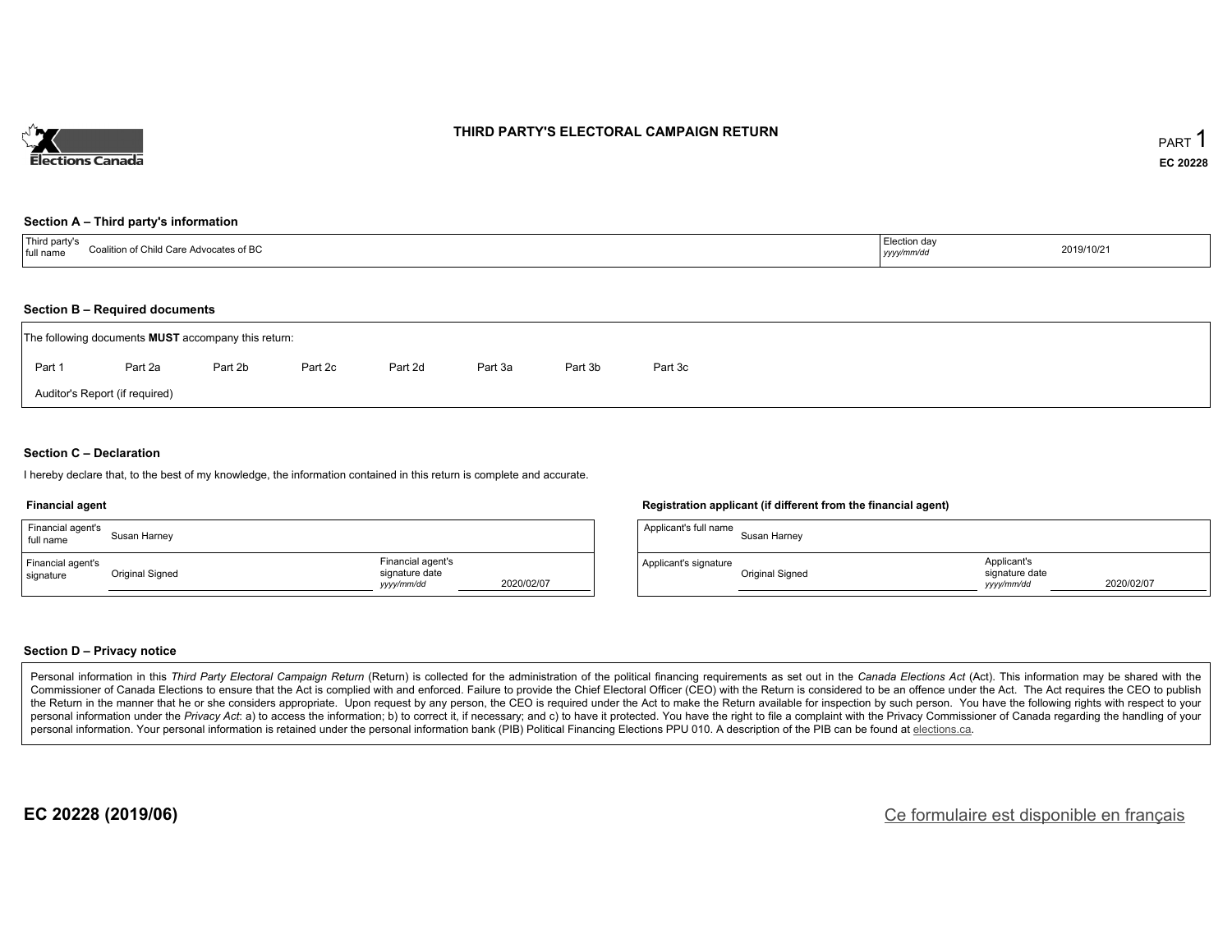

### **THIRD PARTY'S ELECTORAL CAMPAIGN RETURN**

#### **Section A – Third party's information**

| <sup>1</sup> Third party's<br>Coalition of Child Care Advocates of BC<br>full name | Election day<br>yyyy/mm/dd | 2019/10/21 |
|------------------------------------------------------------------------------------|----------------------------|------------|
|------------------------------------------------------------------------------------|----------------------------|------------|

#### **Section B – Required documents**

|        | The following documents <b>MUST</b> accompany this return: |         |         |         |         |         |         |  |  |  |  |  |
|--------|------------------------------------------------------------|---------|---------|---------|---------|---------|---------|--|--|--|--|--|
| Part 1 | Part 2a                                                    | Part 2b | Part 2c | Part 2d | Part 3a | Part 3b | Part 3c |  |  |  |  |  |
|        | Auditor's Report (if required)                             |         |         |         |         |         |         |  |  |  |  |  |

### **Section C – Declaration**

I hereby declare that, to the best of my knowledge, the information contained in this return is complete and accurate.

#### **Financial agent**

| Financial agent's<br>full name | Susan Harney    |                                                                 |  |
|--------------------------------|-----------------|-----------------------------------------------------------------|--|
| Financial agent's<br>signature | Original Signed | Financial agent's<br>signature date<br>2020/02/07<br>yyyy/mm/dd |  |

### **Registration applicant (if different from the financial agent)**

| Applicant's full name | Susan Harney    |                                             |            |
|-----------------------|-----------------|---------------------------------------------|------------|
| Applicant's signature | Original Signed | Applicant's<br>signature date<br>vyyy/mm/dd | 2020/02/07 |

### **Section D – Privacy notice**

Personal information in this Third Party Electoral Campaign Return (Return) is collected for the administration of the political financing requirements as set out in the Canada Elections Act (Act). This information may be Commissioner of Canada Elections to ensure that the Act is complied with and enforced. Failure to provide the Chief Electoral Officer (CEO) with the Return is considered to be an offence under the Act. The Act requires the the Return in the manner that he or she considers appropriate. Upon request by any person, the CEO is required under the Act to make the Return available for inspection by such person. You have the following rights with re personal information under the Privacy Act: a) to access the information; b) to correct it, if necessary; and c) to have it protected. You have the right to file a complaint with the Privacy Commissioner of Canada regardin personal information. Your personal information is retained under the personal information bank (PIB) Political Financing Elections PPU 010. A description of the PIB can be found at elections.ca.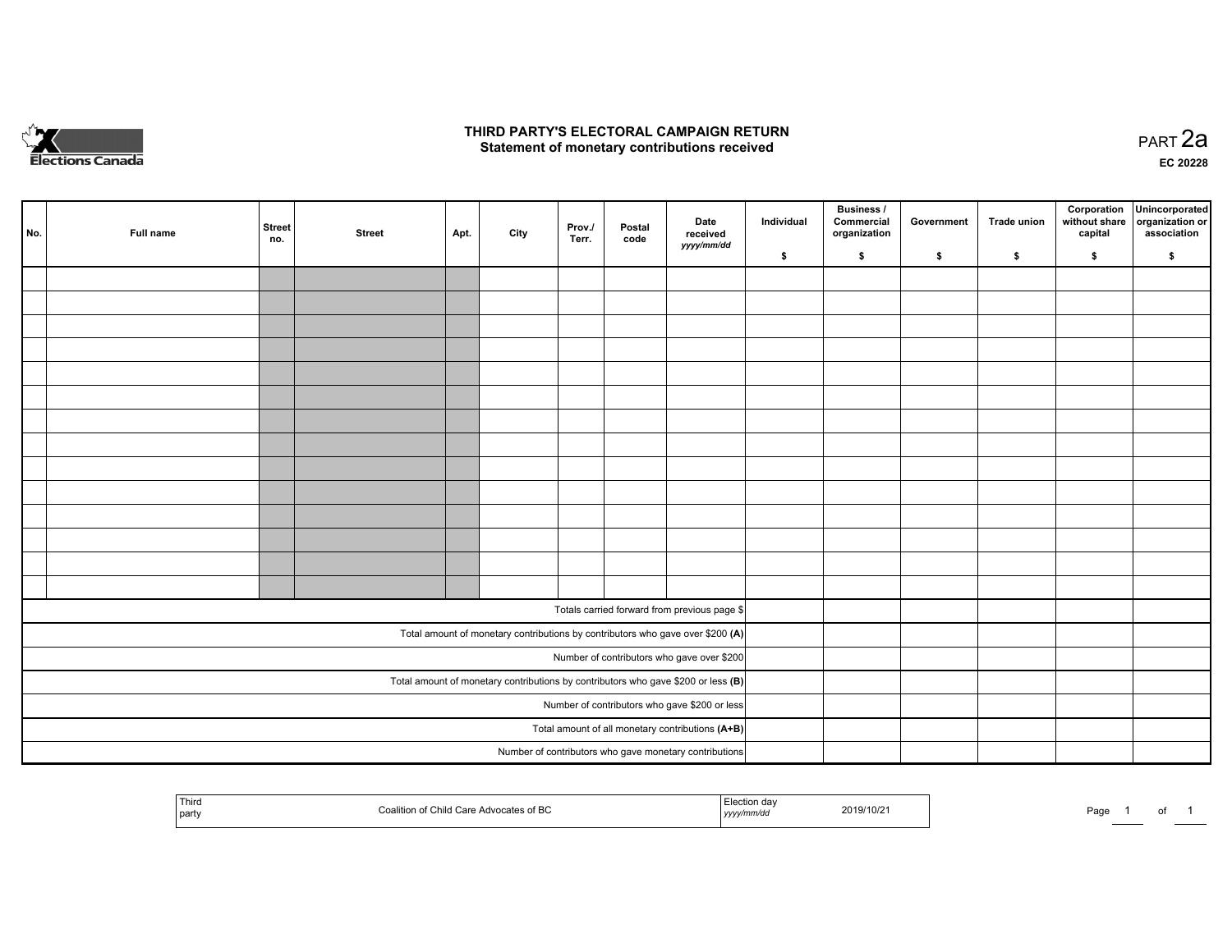

## **THIRD PARTY'S ELECTORAL CAMPAIGN RETURN HIRD PARTY'S ELECTORAL CAMPAIGN RETURN<br>Statement of monetary contributions received PART 2a PART 2a**

**EC 20228**

| No. | Full name | <b>Street</b><br>no. | <b>Street</b> | Apt. | City | Prov./<br>Terr. | Postal<br>code | Date<br>received                                                                    | Individual | <b>Business /</b><br>Commercial<br>organization | Government | Trade union | Corporation<br>without share<br>capital | Unincorporated<br>organization or<br>association |
|-----|-----------|----------------------|---------------|------|------|-----------------|----------------|-------------------------------------------------------------------------------------|------------|-------------------------------------------------|------------|-------------|-----------------------------------------|--------------------------------------------------|
|     |           |                      |               |      |      |                 |                | yyyy/mm/dd                                                                          | \$         | \$                                              | \$         | \$          | \$                                      | \$                                               |
|     |           |                      |               |      |      |                 |                |                                                                                     |            |                                                 |            |             |                                         |                                                  |
|     |           |                      |               |      |      |                 |                |                                                                                     |            |                                                 |            |             |                                         |                                                  |
|     |           |                      |               |      |      |                 |                |                                                                                     |            |                                                 |            |             |                                         |                                                  |
|     |           |                      |               |      |      |                 |                |                                                                                     |            |                                                 |            |             |                                         |                                                  |
|     |           |                      |               |      |      |                 |                |                                                                                     |            |                                                 |            |             |                                         |                                                  |
|     |           |                      |               |      |      |                 |                |                                                                                     |            |                                                 |            |             |                                         |                                                  |
|     |           |                      |               |      |      |                 |                |                                                                                     |            |                                                 |            |             |                                         |                                                  |
|     |           |                      |               |      |      |                 |                |                                                                                     |            |                                                 |            |             |                                         |                                                  |
|     |           |                      |               |      |      |                 |                |                                                                                     |            |                                                 |            |             |                                         |                                                  |
|     |           |                      |               |      |      |                 |                |                                                                                     |            |                                                 |            |             |                                         |                                                  |
|     |           |                      |               |      |      |                 |                |                                                                                     |            |                                                 |            |             |                                         |                                                  |
|     |           |                      |               |      |      |                 |                |                                                                                     |            |                                                 |            |             |                                         |                                                  |
|     |           |                      |               |      |      |                 |                |                                                                                     |            |                                                 |            |             |                                         |                                                  |
|     |           |                      |               |      |      |                 |                |                                                                                     |            |                                                 |            |             |                                         |                                                  |
|     |           |                      |               |      |      |                 |                | Totals carried forward from previous page \$                                        |            |                                                 |            |             |                                         |                                                  |
|     |           |                      |               |      |      |                 |                | Total amount of monetary contributions by contributors who gave over \$200 (A)      |            |                                                 |            |             |                                         |                                                  |
|     |           |                      |               |      |      |                 |                | Number of contributors who gave over \$200                                          |            |                                                 |            |             |                                         |                                                  |
|     |           |                      |               |      |      |                 |                | Total amount of monetary contributions by contributors who gave \$200 or less $(B)$ |            |                                                 |            |             |                                         |                                                  |
|     |           |                      |               |      |      |                 |                | Number of contributors who gave \$200 or less                                       |            |                                                 |            |             |                                         |                                                  |
|     |           |                      |               |      |      |                 |                | Total amount of all monetary contributions (A+B)                                    |            |                                                 |            |             |                                         |                                                  |
|     |           |                      |               |      |      |                 |                | Number of contributors who gave monetary contributions                              |            |                                                 |            |             |                                         |                                                  |

|  | l Thiro<br>ot BC<br>part<br>71 J V L J | 2019/10/2<br>,,,, | - - - -<br>-aa∈<br> |
|--|----------------------------------------|-------------------|---------------------|
|--|----------------------------------------|-------------------|---------------------|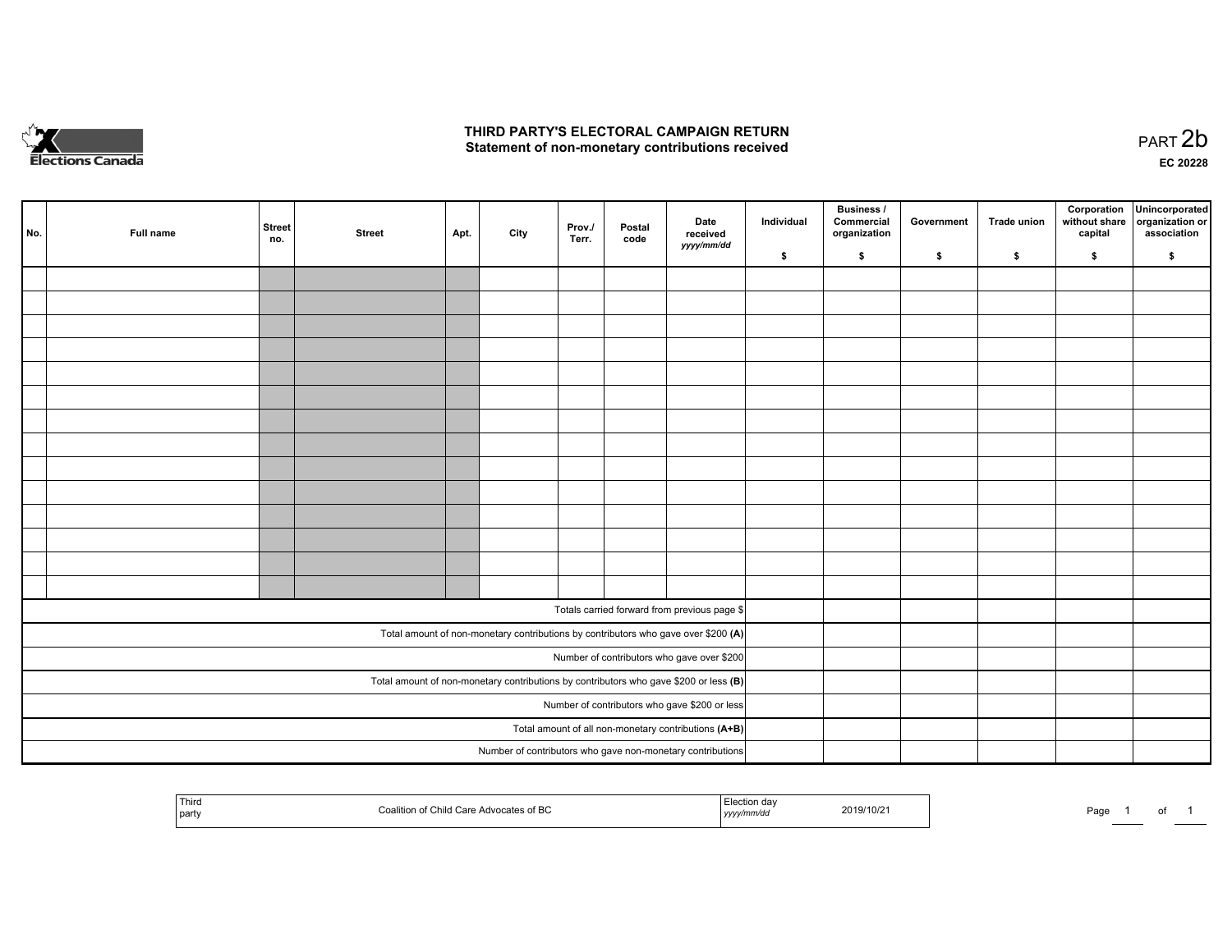

## **THIRD PARTY'S ELECTORAL CAMPAIGN RETURN**  THIRD PARTY'S ELECTORAL CAMPAIGN RETURN<br>Statement of non-monetary contributions received

| No. | Full name | <b>Street</b><br>no. | <b>Street</b> | Apt. | City | Prov./<br>Terr. | Postal<br>code | Date<br>received<br>yyyy/mm/dd                                                          | Individual | <b>Business /</b><br>Commercial<br>organization | Government | Trade union | Corporation<br>without share<br>capital | Unincorporated<br>organization or<br>association |
|-----|-----------|----------------------|---------------|------|------|-----------------|----------------|-----------------------------------------------------------------------------------------|------------|-------------------------------------------------|------------|-------------|-----------------------------------------|--------------------------------------------------|
|     |           |                      |               |      |      |                 |                |                                                                                         | \$         | \$                                              | \$         | s.          | \$                                      | \$                                               |
|     |           |                      |               |      |      |                 |                |                                                                                         |            |                                                 |            |             |                                         |                                                  |
|     |           |                      |               |      |      |                 |                |                                                                                         |            |                                                 |            |             |                                         |                                                  |
|     |           |                      |               |      |      |                 |                |                                                                                         |            |                                                 |            |             |                                         |                                                  |
|     |           |                      |               |      |      |                 |                |                                                                                         |            |                                                 |            |             |                                         |                                                  |
|     |           |                      |               |      |      |                 |                |                                                                                         |            |                                                 |            |             |                                         |                                                  |
|     |           |                      |               |      |      |                 |                |                                                                                         |            |                                                 |            |             |                                         |                                                  |
|     |           |                      |               |      |      |                 |                |                                                                                         |            |                                                 |            |             |                                         |                                                  |
|     |           |                      |               |      |      |                 |                |                                                                                         |            |                                                 |            |             |                                         |                                                  |
|     |           |                      |               |      |      |                 |                |                                                                                         |            |                                                 |            |             |                                         |                                                  |
|     |           |                      |               |      |      |                 |                |                                                                                         |            |                                                 |            |             |                                         |                                                  |
|     |           |                      |               |      |      |                 |                |                                                                                         |            |                                                 |            |             |                                         |                                                  |
|     |           |                      |               |      |      |                 |                |                                                                                         |            |                                                 |            |             |                                         |                                                  |
|     |           |                      |               |      |      |                 |                |                                                                                         |            |                                                 |            |             |                                         |                                                  |
|     |           |                      |               |      |      |                 |                |                                                                                         |            |                                                 |            |             |                                         |                                                  |
|     |           |                      |               |      |      |                 |                |                                                                                         |            |                                                 |            |             |                                         |                                                  |
|     |           |                      |               |      |      |                 |                | Totals carried forward from previous page \$                                            |            |                                                 |            |             |                                         |                                                  |
|     |           |                      |               |      |      |                 |                | Total amount of non-monetary contributions by contributors who gave over \$200 (A)      |            |                                                 |            |             |                                         |                                                  |
|     |           |                      |               |      |      |                 |                | Number of contributors who gave over \$200                                              |            |                                                 |            |             |                                         |                                                  |
|     |           |                      |               |      |      |                 |                | Total amount of non-monetary contributions by contributors who gave \$200 or less $(B)$ |            |                                                 |            |             |                                         |                                                  |
|     |           |                      |               |      |      |                 |                | Number of contributors who gave \$200 or less                                           |            |                                                 |            |             |                                         |                                                  |
|     |           |                      |               |      |      |                 |                | Total amount of all non-monetary contributions (A+B)                                    |            |                                                 |            |             |                                         |                                                  |
|     |           |                      |               |      |      |                 |                | Number of contributors who gave non-monetary contributions                              |            |                                                 |            |             |                                         |                                                  |
|     |           |                      |               |      |      |                 |                |                                                                                         |            |                                                 |            |             |                                         |                                                  |

| Third<br>  part | $-5.00$<br>ാ∩ates of Bu<br>,,,,<br>$\overline{\phantom{a}}$ | $1$ <i>yyyy</i> | /10/21<br>zuny | Page |  |  |  |
|-----------------|-------------------------------------------------------------|-----------------|----------------|------|--|--|--|
|-----------------|-------------------------------------------------------------|-----------------|----------------|------|--|--|--|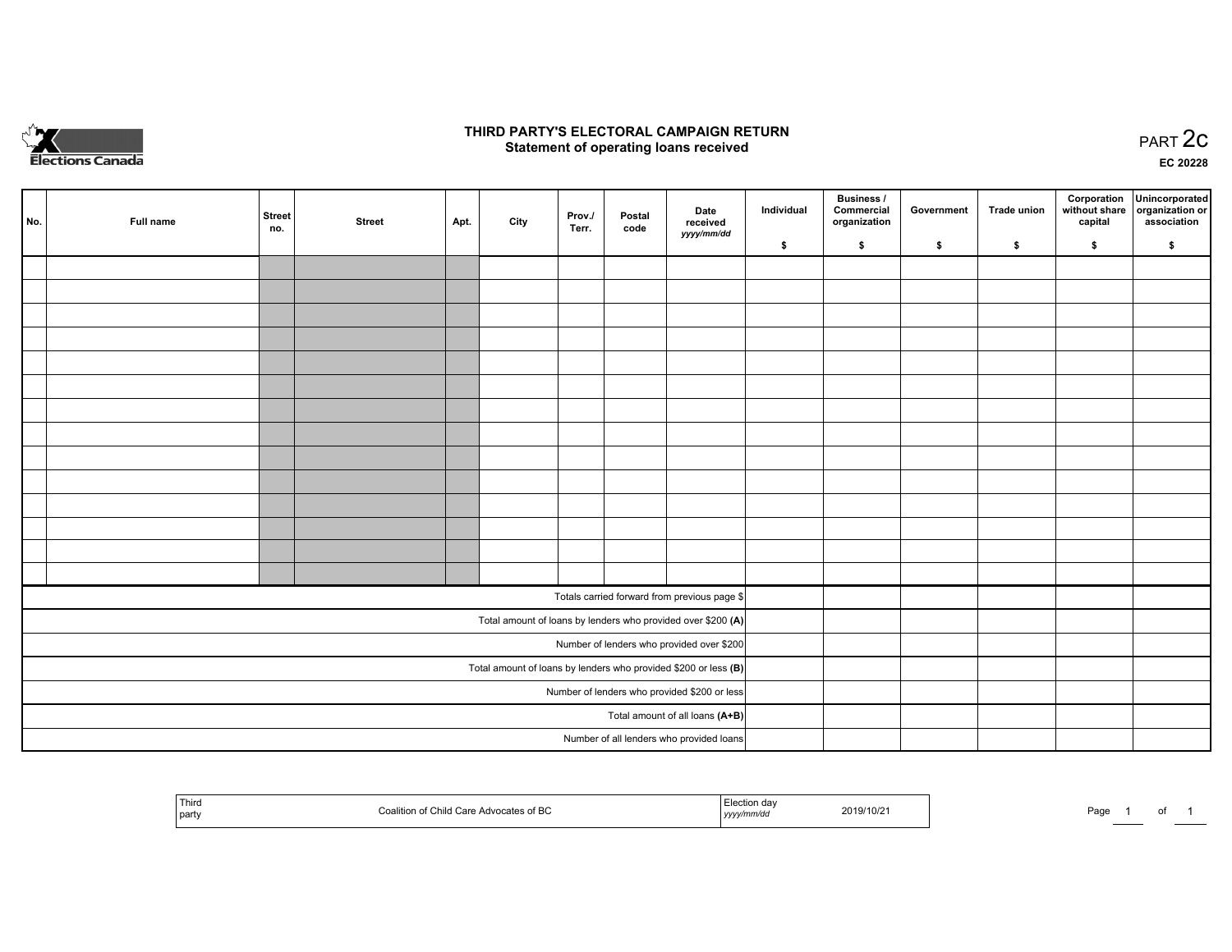

## **THIRD PARTY'S ELECTORAL CAMPAIGN RETURN STATE:** PRACT OF OPPRESS TO PART 2C STATE STATE STATE STATE STATE STATE STATE STATE STATE STATE STATE STATE STA<br>PART 2C Statement of operating loans received

**EC 20228**

| No. | Full name | <b>Street</b><br>no. | <b>Street</b> | Apt. | City | Prov./<br>Terr. | Postal<br>code | Date<br>received                                                | Individual | <b>Business /</b><br>Commercial<br>organization | Government | Trade union | Corporation<br>capital | Unincorporated<br>without share organization or<br>association |
|-----|-----------|----------------------|---------------|------|------|-----------------|----------------|-----------------------------------------------------------------|------------|-------------------------------------------------|------------|-------------|------------------------|----------------------------------------------------------------|
|     |           |                      |               |      |      |                 |                | yyyy/mm/dd                                                      | \$         | \$                                              | \$         | \$          | \$                     | \$                                                             |
|     |           |                      |               |      |      |                 |                |                                                                 |            |                                                 |            |             |                        |                                                                |
|     |           |                      |               |      |      |                 |                |                                                                 |            |                                                 |            |             |                        |                                                                |
|     |           |                      |               |      |      |                 |                |                                                                 |            |                                                 |            |             |                        |                                                                |
|     |           |                      |               |      |      |                 |                |                                                                 |            |                                                 |            |             |                        |                                                                |
|     |           |                      |               |      |      |                 |                |                                                                 |            |                                                 |            |             |                        |                                                                |
|     |           |                      |               |      |      |                 |                |                                                                 |            |                                                 |            |             |                        |                                                                |
|     |           |                      |               |      |      |                 |                |                                                                 |            |                                                 |            |             |                        |                                                                |
|     |           |                      |               |      |      |                 |                |                                                                 |            |                                                 |            |             |                        |                                                                |
|     |           |                      |               |      |      |                 |                |                                                                 |            |                                                 |            |             |                        |                                                                |
|     |           |                      |               |      |      |                 |                |                                                                 |            |                                                 |            |             |                        |                                                                |
|     |           |                      |               |      |      |                 |                |                                                                 |            |                                                 |            |             |                        |                                                                |
|     |           |                      |               |      |      |                 |                |                                                                 |            |                                                 |            |             |                        |                                                                |
|     |           |                      |               |      |      |                 |                |                                                                 |            |                                                 |            |             |                        |                                                                |
|     |           |                      |               |      |      |                 |                |                                                                 |            |                                                 |            |             |                        |                                                                |
|     |           |                      |               |      |      |                 |                | Totals carried forward from previous page \$                    |            |                                                 |            |             |                        |                                                                |
|     |           |                      |               |      |      |                 |                | Total amount of loans by lenders who provided over \$200 (A)    |            |                                                 |            |             |                        |                                                                |
|     |           |                      |               |      |      |                 |                | Number of lenders who provided over \$200                       |            |                                                 |            |             |                        |                                                                |
|     |           |                      |               |      |      |                 |                | Total amount of loans by lenders who provided \$200 or less (B) |            |                                                 |            |             |                        |                                                                |
|     |           |                      |               |      |      |                 |                | Number of lenders who provided \$200 or less                    |            |                                                 |            |             |                        |                                                                |
|     |           |                      |               |      |      |                 |                | Total amount of all loans (A+B)                                 |            |                                                 |            |             |                        |                                                                |
|     |           |                      |               |      |      |                 |                | Number of all lenders who provided loans                        |            |                                                 |            |             |                        |                                                                |

| ' Third<br>Advocates of BC<br>í Child Care<br>party | da\<br>.iection<br>2019/10/21<br>yyyymm/aa | Page<br>$\cdot$ |
|-----------------------------------------------------|--------------------------------------------|-----------------|
|-----------------------------------------------------|--------------------------------------------|-----------------|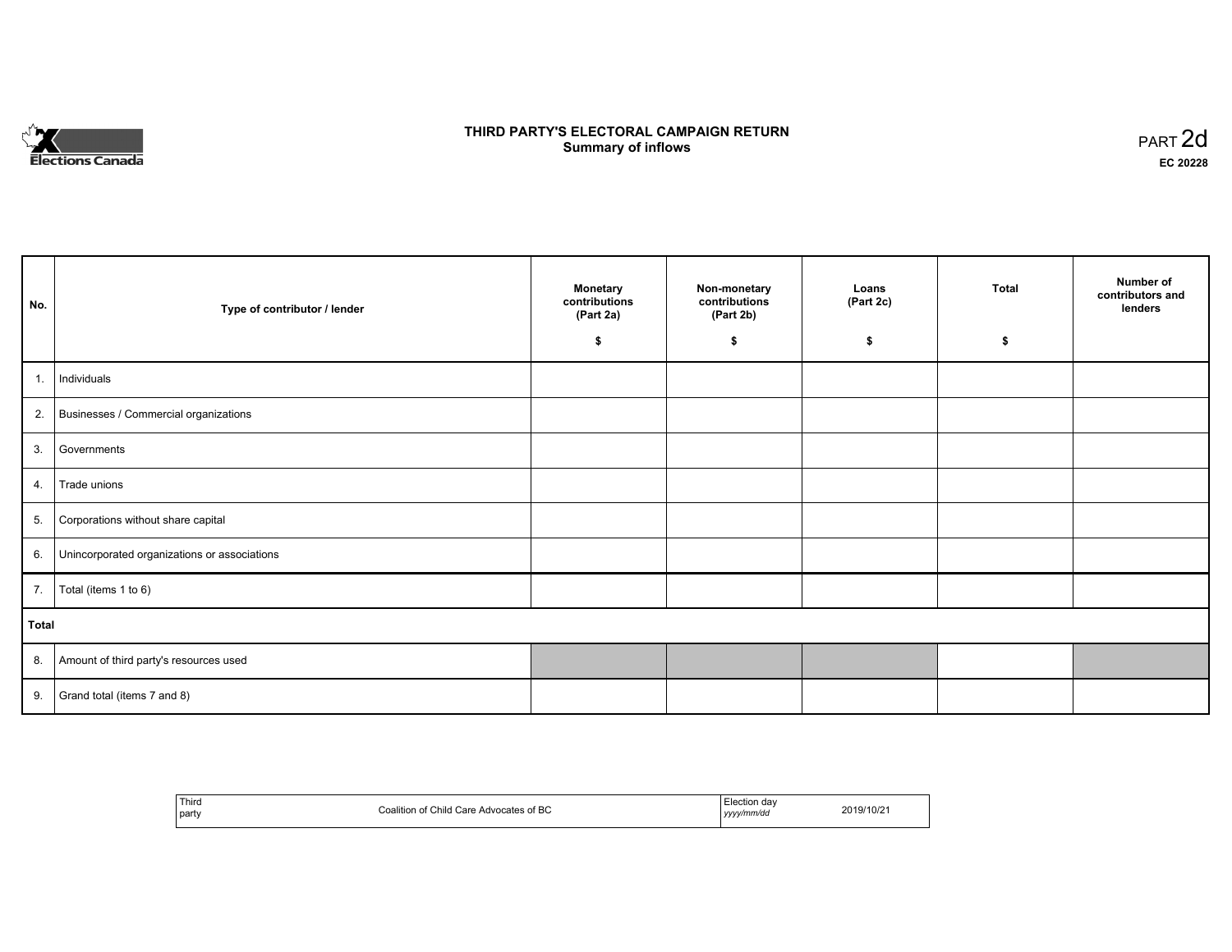

# **THIRD PARTY'S ELECTORAL CAMPAIGN RETURN S** ELECTORAL CAMPAIGN RETURN<br>Summary of inflows PART 2d

| No.   | Type of contributor / lender                    | <b>Monetary</b><br>contributions<br>(Part 2a) | Non-monetary<br>contributions<br>(Part 2b) | Loans<br>(Part 2c) | <b>Total</b> | Number of<br>contributors and<br>lenders |
|-------|-------------------------------------------------|-----------------------------------------------|--------------------------------------------|--------------------|--------------|------------------------------------------|
|       |                                                 | \$                                            | \$                                         | \$                 | \$           |                                          |
| 1.    | Individuals                                     |                                               |                                            |                    |              |                                          |
|       | 2. Businesses / Commercial organizations        |                                               |                                            |                    |              |                                          |
| 3.    | Governments                                     |                                               |                                            |                    |              |                                          |
| 4.    | Trade unions                                    |                                               |                                            |                    |              |                                          |
| 5.    | Corporations without share capital              |                                               |                                            |                    |              |                                          |
|       | 6. Unincorporated organizations or associations |                                               |                                            |                    |              |                                          |
|       | 7.   Total (items 1 to 6)                       |                                               |                                            |                    |              |                                          |
| Total |                                                 |                                               |                                            |                    |              |                                          |
|       | 8. Amount of third party's resources used       |                                               |                                            |                    |              |                                          |
| 9.    | Grand total (items 7 and 8)                     |                                               |                                            |                    |              |                                          |

| Third<br>party | <b>Advocates of BC</b><br>:oalition<br>. :hild<br>Care)<br>$\sim$ $\sim$ | -lection day<br>yyyy/mm/dd<br>,,,, | 2/10/z<br>∠∪ |
|----------------|--------------------------------------------------------------------------|------------------------------------|--------------|
|----------------|--------------------------------------------------------------------------|------------------------------------|--------------|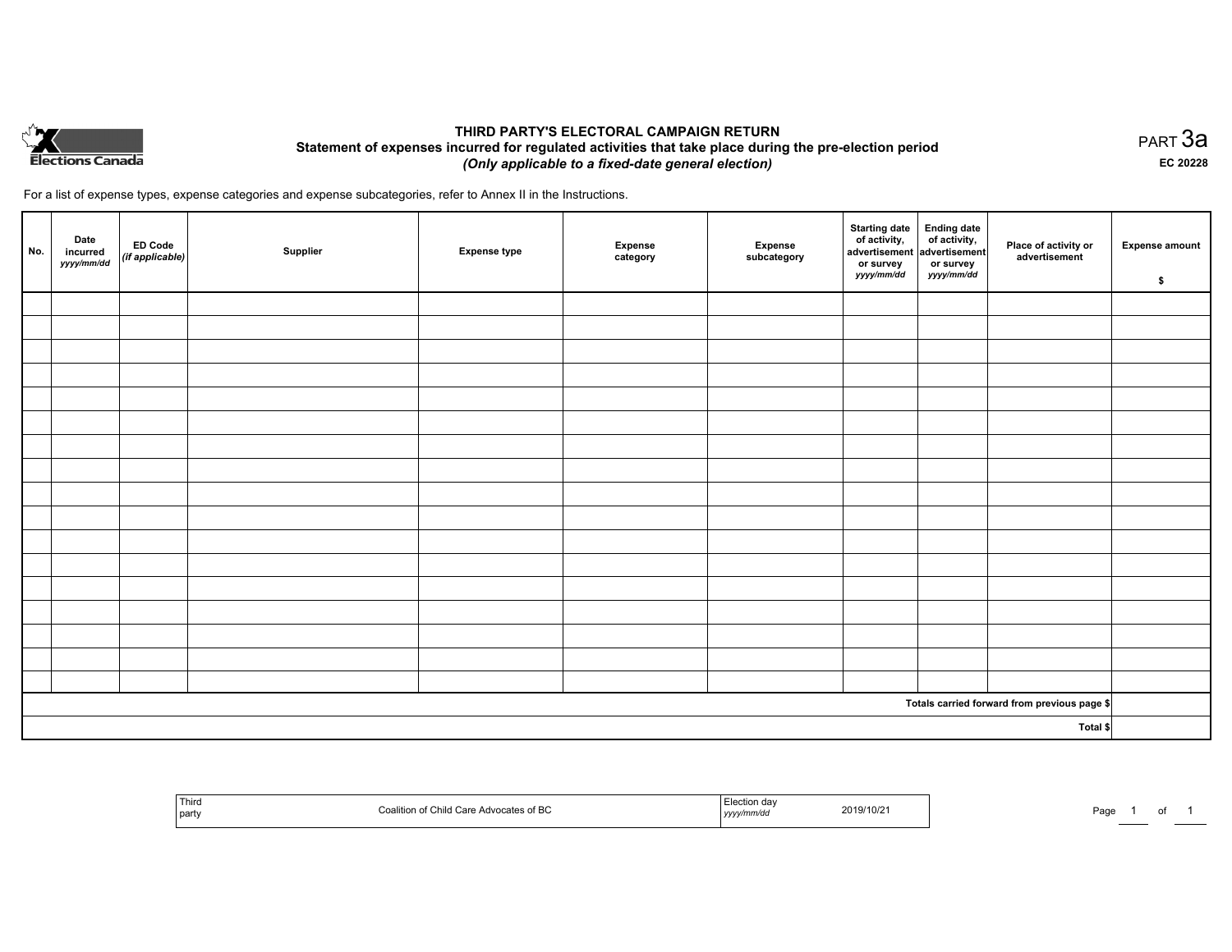

## **THIRD PARTY'S ELECTORAL CAMPAIGN RETURN Statement of expenses incurred for regulated activities that take place during the pre-election period**  *(Only applicable to a fixed-date general election)*

For a list of expense types, expense categories and expense subcategories, refer to Annex II in the Instructions.

| No. | Date<br>incurred<br>yyyy/mm/dd | $\left  \begin{array}{c} \text{ED Code} \\ (\text{if applicable}) \end{array} \right $ | Supplier | <b>Expense type</b> | <b>Expense</b><br>category | Expense<br>subcategory | Starting date<br>of activity,<br>advertisement<br>advertisement<br>dvertisement<br>or survey<br>yyyy/mm/dd | or survey<br>yyyy/mm/dd | Place of activity or<br>advertisement        | <b>Expense amount</b><br>\$ |
|-----|--------------------------------|----------------------------------------------------------------------------------------|----------|---------------------|----------------------------|------------------------|------------------------------------------------------------------------------------------------------------|-------------------------|----------------------------------------------|-----------------------------|
|     |                                |                                                                                        |          |                     |                            |                        |                                                                                                            |                         |                                              |                             |
|     |                                |                                                                                        |          |                     |                            |                        |                                                                                                            |                         |                                              |                             |
|     |                                |                                                                                        |          |                     |                            |                        |                                                                                                            |                         |                                              |                             |
|     |                                |                                                                                        |          |                     |                            |                        |                                                                                                            |                         |                                              |                             |
|     |                                |                                                                                        |          |                     |                            |                        |                                                                                                            |                         |                                              |                             |
|     |                                |                                                                                        |          |                     |                            |                        |                                                                                                            |                         |                                              |                             |
|     |                                |                                                                                        |          |                     |                            |                        |                                                                                                            |                         |                                              |                             |
|     |                                |                                                                                        |          |                     |                            |                        |                                                                                                            |                         |                                              |                             |
|     |                                |                                                                                        |          |                     |                            |                        |                                                                                                            |                         |                                              |                             |
|     |                                |                                                                                        |          |                     |                            |                        |                                                                                                            |                         |                                              |                             |
|     |                                |                                                                                        |          |                     |                            |                        |                                                                                                            |                         |                                              |                             |
|     |                                |                                                                                        |          |                     |                            |                        |                                                                                                            |                         |                                              |                             |
|     |                                |                                                                                        |          |                     |                            |                        |                                                                                                            |                         |                                              |                             |
|     |                                |                                                                                        |          |                     |                            |                        |                                                                                                            |                         |                                              |                             |
|     |                                |                                                                                        |          |                     |                            |                        |                                                                                                            |                         |                                              |                             |
|     |                                |                                                                                        |          |                     |                            |                        |                                                                                                            |                         |                                              |                             |
|     |                                |                                                                                        |          |                     |                            |                        |                                                                                                            |                         |                                              |                             |
|     |                                |                                                                                        |          |                     |                            |                        |                                                                                                            |                         | Totals carried forward from previous page \$ |                             |
|     |                                |                                                                                        |          |                     |                            |                        |                                                                                                            |                         | Total \$                                     |                             |

| Third<br>  part | วates of BC<br>1111 | 1 1 1 1 1 | 10/21<br>2019/<br>the contract of the contract of the contract of the contract of the contract of | Pag |  |  |  |
|-----------------|---------------------|-----------|---------------------------------------------------------------------------------------------------|-----|--|--|--|
|-----------------|---------------------|-----------|---------------------------------------------------------------------------------------------------|-----|--|--|--|

PART 3a **EC 20228**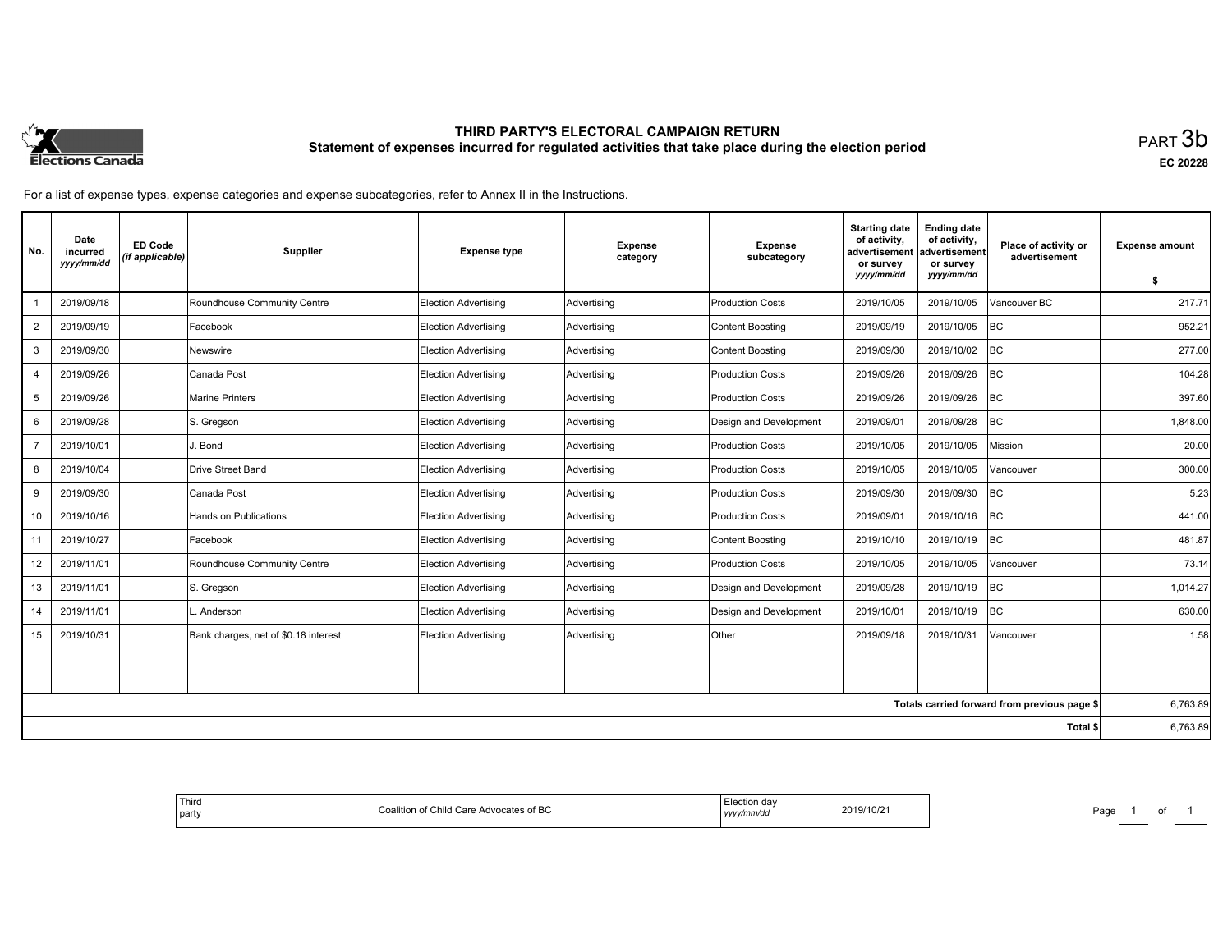

# **THIRD PARTY'S ELECTORAL CAMPAIGN RETURN Statement of expenses incurred for regulated activities that take place during the election period**<br>PART  $3\mathsf{b}$

**EC 20228**

For a list of expense types, expense categories and expense subcategories, refer to Annex II in the Instructions.

| No.            | Date<br>incurred<br>yyyy/mm/dd | <b>ED Code</b><br>(if applicable) | Supplier                             | <b>Expense type</b>         | <b>Expense</b><br>category | <b>Expense</b><br>subcategory | <b>Starting date</b><br>of activity.<br>advertisement<br>or survey<br>yyyy/mm/dd | <b>Ending date</b><br>of activity,<br>ladvertisement<br>or survey<br>yyyy/mm/dd | Place of activity or<br>advertisement        | <b>Expense amount</b><br>s. |
|----------------|--------------------------------|-----------------------------------|--------------------------------------|-----------------------------|----------------------------|-------------------------------|----------------------------------------------------------------------------------|---------------------------------------------------------------------------------|----------------------------------------------|-----------------------------|
|                |                                |                                   |                                      |                             |                            |                               |                                                                                  |                                                                                 |                                              |                             |
|                | 2019/09/18                     |                                   | Roundhouse Community Centre          | Election Advertising        | Advertising                | <b>Production Costs</b>       | 2019/10/05                                                                       | 2019/10/05                                                                      | Vancouver BC                                 | 217.71                      |
| 2              | 2019/09/19                     |                                   | Facebook                             | Election Advertising        | Advertising                | <b>Content Boosting</b>       | 2019/09/19                                                                       | 2019/10/05                                                                      | <b>BC</b>                                    | 952.21                      |
| 3              | 2019/09/30                     |                                   | Newswire                             | <b>Election Advertising</b> | Advertising                | <b>Content Boosting</b>       | 2019/09/30                                                                       | 2019/10/02                                                                      | BC                                           | 277.00                      |
| $\overline{4}$ | 2019/09/26                     |                                   | Canada Post                          | Election Advertising        | Advertising                | <b>Production Costs</b>       | 2019/09/26                                                                       | 2019/09/26                                                                      | BC                                           | 104.28                      |
| 5              | 2019/09/26                     |                                   | Marine Printers                      | Election Advertising        | Advertising                | <b>Production Costs</b>       | 2019/09/26                                                                       | 2019/09/26                                                                      | <b>BC</b>                                    | 397.60                      |
| 6              | 2019/09/28                     |                                   | S. Gregson                           | <b>Election Advertising</b> | Advertising                | Design and Development        | 2019/09/01                                                                       | 2019/09/28                                                                      | BC                                           | 1,848.00                    |
|                | 2019/10/01                     |                                   | J. Bond                              | Election Advertising        | Advertising                | <b>Production Costs</b>       | 2019/10/05                                                                       | 2019/10/05                                                                      | Mission                                      | 20.00                       |
| 8              | 2019/10/04                     |                                   | Drive Street Band                    | Election Advertising        | Advertising                | <b>Production Costs</b>       | 2019/10/05                                                                       | 2019/10/05                                                                      | /ancouver                                    | 300.00                      |
| 9              | 2019/09/30                     |                                   | Canada Post                          | <b>Election Advertising</b> | Advertising                | <b>Production Costs</b>       | 2019/09/30                                                                       | 2019/09/30                                                                      | BC                                           | 5.23                        |
| 10             | 2019/10/16                     |                                   | Hands on Publications                | Election Advertising        | Advertising                | <b>Production Costs</b>       | 2019/09/01                                                                       | 2019/10/16                                                                      | <b>BC</b>                                    | 441.00                      |
| 11             | 2019/10/27                     |                                   | Facebook                             | Election Advertising        | Advertising                | <b>Content Boosting</b>       | 2019/10/10                                                                       | 2019/10/19                                                                      | <b>BC</b>                                    | 481.87                      |
| 12             | 2019/11/01                     |                                   | Roundhouse Community Centre          | <b>Election Advertising</b> | Advertising                | <b>Production Costs</b>       | 2019/10/05                                                                       | 2019/10/05                                                                      | Vancouver                                    | 73.14                       |
| 13             | 2019/11/01                     |                                   | S. Gregson                           | Election Advertising        | Advertising                | Design and Development        | 2019/09/28                                                                       | 2019/10/19                                                                      | <b>BC</b>                                    | 1.014.27                    |
| 14             | 2019/11/01                     |                                   | Anderson                             | Election Advertising        | Advertising                | Design and Development        | 2019/10/01                                                                       | 2019/10/19                                                                      | <b>BC</b>                                    | 630.00                      |
| 15             | 2019/10/31                     |                                   | Bank charges, net of \$0.18 interest | <b>Election Advertising</b> | Advertising                | Other                         | 2019/09/18                                                                       | 2019/10/31                                                                      | Vancouver                                    | 1.58                        |
|                |                                |                                   |                                      |                             |                            |                               |                                                                                  |                                                                                 |                                              |                             |
|                |                                |                                   |                                      |                             |                            |                               |                                                                                  |                                                                                 |                                              |                             |
|                |                                |                                   |                                      |                             |                            |                               |                                                                                  |                                                                                 | Totals carried forward from previous page \$ | 6,763.89                    |
|                |                                |                                   |                                      |                             |                            |                               |                                                                                  |                                                                                 | Total \$                                     | 6,763.89                    |

| ∵lection u<br>$1/10/2$ .<br>.<br>f BC<br>$\sim$<br>ZU.<br>,,,,,,,,,<br>. <del>.</del><br>,,,,, | Third<br>$\sim$<br>coalition<br>party |
|------------------------------------------------------------------------------------------------|---------------------------------------|
|------------------------------------------------------------------------------------------------|---------------------------------------|

Page 1 of 1